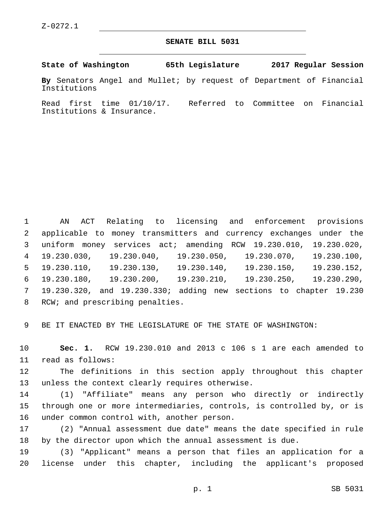## **SENATE BILL 5031**

**State of Washington 65th Legislature 2017 Regular Session**

**By** Senators Angel and Mullet; by request of Department of Financial Institutions

Read first time 01/10/17. Referred to Committee on Financial Institutions & Insurance.

 AN ACT Relating to licensing and enforcement provisions applicable to money transmitters and currency exchanges under the uniform money services act; amending RCW 19.230.010, 19.230.020, 19.230.030, 19.230.040, 19.230.050, 19.230.070, 19.230.100, 19.230.110, 19.230.130, 19.230.140, 19.230.150, 19.230.152, 19.230.180, 19.230.200, 19.230.210, 19.230.250, 19.230.290, 19.230.320, and 19.230.330; adding new sections to chapter 19.230 8 RCW; and prescribing penalties.

9 BE IT ENACTED BY THE LEGISLATURE OF THE STATE OF WASHINGTON:

10 **Sec. 1.** RCW 19.230.010 and 2013 c 106 s 1 are each amended to 11 read as follows:

12 The definitions in this section apply throughout this chapter 13 unless the context clearly requires otherwise.

14 (1) "Affiliate" means any person who directly or indirectly 15 through one or more intermediaries, controls, is controlled by, or is 16 under common control with, another person.

17 (2) "Annual assessment due date" means the date specified in rule 18 by the director upon which the annual assessment is due.

19 (3) "Applicant" means a person that files an application for a 20 license under this chapter, including the applicant's proposed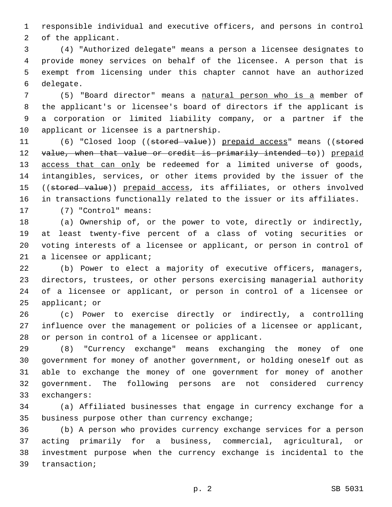responsible individual and executive officers, and persons in control 2 of the applicant.

 (4) "Authorized delegate" means a person a licensee designates to provide money services on behalf of the licensee. A person that is exempt from licensing under this chapter cannot have an authorized 6 delegate.

 (5) "Board director" means a natural person who is a member of the applicant's or licensee's board of directors if the applicant is a corporation or limited liability company, or a partner if the 10 applicant or licensee is a partnership.

11 (6) "Closed loop ((stored value)) prepaid access" means ((stored 12 value, when that value or credit is primarily intended to)) prepaid 13 access that can only be redeemed for a limited universe of goods, intangibles, services, or other items provided by the issuer of the 15 ((stored value)) prepaid access, its affiliates, or others involved in transactions functionally related to the issuer or its affiliates. 17 (7) "Control" means:

 (a) Ownership of, or the power to vote, directly or indirectly, at least twenty-five percent of a class of voting securities or voting interests of a licensee or applicant, or person in control of 21 a licensee or applicant;

 (b) Power to elect a majority of executive officers, managers, directors, trustees, or other persons exercising managerial authority of a licensee or applicant, or person in control of a licensee or applicant; or

 (c) Power to exercise directly or indirectly, a controlling influence over the management or policies of a licensee or applicant, 28 or person in control of a licensee or applicant.

 (8) "Currency exchange" means exchanging the money of one government for money of another government, or holding oneself out as able to exchange the money of one government for money of another government. The following persons are not considered currency 33 exchangers:

 (a) Affiliated businesses that engage in currency exchange for a 35 business purpose other than currency exchange;

 (b) A person who provides currency exchange services for a person acting primarily for a business, commercial, agricultural, or investment purpose when the currency exchange is incidental to the 39 transaction;

p. 2 SB 5031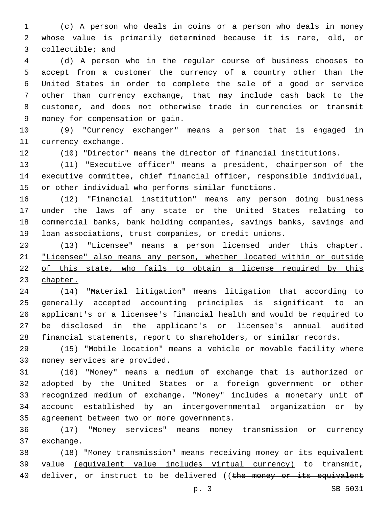(c) A person who deals in coins or a person who deals in money whose value is primarily determined because it is rare, old, or 3 collectible; and

 (d) A person who in the regular course of business chooses to accept from a customer the currency of a country other than the United States in order to complete the sale of a good or service other than currency exchange, that may include cash back to the customer, and does not otherwise trade in currencies or transmit money for compensation or gain.9

 (9) "Currency exchanger" means a person that is engaged in 11 currency exchange.

(10) "Director" means the director of financial institutions.

 (11) "Executive officer" means a president, chairperson of the executive committee, chief financial officer, responsible individual, or other individual who performs similar functions.

 (12) "Financial institution" means any person doing business under the laws of any state or the United States relating to commercial banks, bank holding companies, savings banks, savings and loan associations, trust companies, or credit unions.

 (13) "Licensee" means a person licensed under this chapter. "Licensee" also means any person, whether located within or outside of this state, who fails to obtain a license required by this chapter.

 (14) "Material litigation" means litigation that according to generally accepted accounting principles is significant to an applicant's or a licensee's financial health and would be required to be disclosed in the applicant's or licensee's annual audited financial statements, report to shareholders, or similar records.

 (15) "Mobile location" means a vehicle or movable facility where 30 money services are provided.

 (16) "Money" means a medium of exchange that is authorized or adopted by the United States or a foreign government or other recognized medium of exchange. "Money" includes a monetary unit of account established by an intergovernmental organization or by 35 agreement between two or more governments.

 (17) "Money services" means money transmission or currency 37 exchange.

 (18) "Money transmission" means receiving money or its equivalent value (equivalent value includes virtual currency) to transmit, 40 deliver, or instruct to be delivered ((the money or its equivalent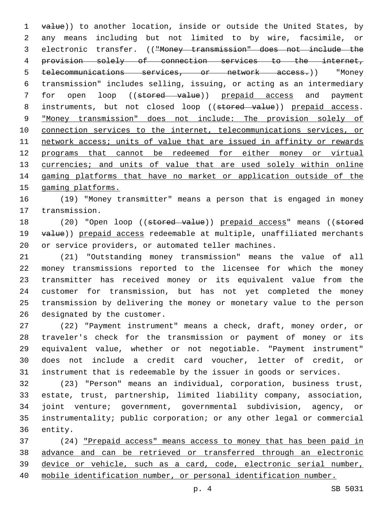1 value)) to another location, inside or outside the United States, by any means including but not limited to by wire, facsimile, or electronic transfer. (("Money transmission" does not include the provision solely of connection services to the internet, telecommunications services, or network access.)) "Money transmission" includes selling, issuing, or acting as an intermediary 7 for open loop ((stored value)) prepaid access and payment 8 instruments, but not closed loop ((stored value)) prepaid access. "Money transmission" does not include: The provision solely of connection services to the internet, telecommunications services, or network access; units of value that are issued in affinity or rewards programs that cannot be redeemed for either money or virtual 13 currencies; and units of value that are used solely within online gaming platforms that have no market or application outside of the gaming platforms.

 (19) "Money transmitter" means a person that is engaged in money 17 transmission.

18 (20) "Open loop ((stored value)) prepaid access" means ((stored 19 value)) prepaid access redeemable at multiple, unaffiliated merchants or service providers, or automated teller machines.

 (21) "Outstanding money transmission" means the value of all money transmissions reported to the licensee for which the money transmitter has received money or its equivalent value from the customer for transmission, but has not yet completed the money transmission by delivering the money or monetary value to the person 26 designated by the customer.

 (22) "Payment instrument" means a check, draft, money order, or traveler's check for the transmission or payment of money or its equivalent value, whether or not negotiable. "Payment instrument" does not include a credit card voucher, letter of credit, or instrument that is redeemable by the issuer in goods or services.

 (23) "Person" means an individual, corporation, business trust, estate, trust, partnership, limited liability company, association, joint venture; government, governmental subdivision, agency, or instrumentality; public corporation; or any other legal or commercial 36 entity.

 (24) "Prepaid access" means access to money that has been paid in advance and can be retrieved or transferred through an electronic device or vehicle, such as a card, code, electronic serial number, mobile identification number, or personal identification number.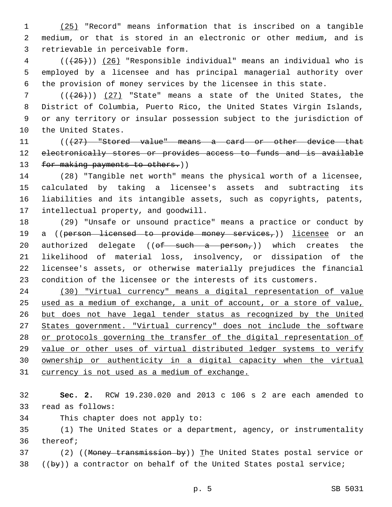(25) "Record" means information that is inscribed on a tangible medium, or that is stored in an electronic or other medium, and is 3 retrievable in perceivable form.

 ( $(\overline{25})$ ) (26) "Responsible individual" means an individual who is employed by a licensee and has principal managerial authority over the provision of money services by the licensee in this state.

 $((+26))$  (27) "State" means a state of the United States, the District of Columbia, Puerto Rico, the United States Virgin Islands, or any territory or insular possession subject to the jurisdiction of 10 the United States.

11 (((427) "Stored value" means a card or other device that 12 electronically stores or provides access to funds and is available 13 for making payments to others.))

 (28) "Tangible net worth" means the physical worth of a licensee, calculated by taking a licensee's assets and subtracting its liabilities and its intangible assets, such as copyrights, patents, 17 intellectual property, and goodwill.

 (29) "Unsafe or unsound practice" means a practice or conduct by 19 a ((person licensed to provide money services,)) licensee or an 20 authorized delegate (( $\theta f$  such a person,)) which creates the likelihood of material loss, insolvency, or dissipation of the licensee's assets, or otherwise materially prejudices the financial condition of the licensee or the interests of its customers.

 (30) "Virtual currency" means a digital representation of value used as a medium of exchange, a unit of account, or a store of value, but does not have legal tender status as recognized by the United States government. "Virtual currency" does not include the software or protocols governing the transfer of the digital representation of value or other uses of virtual distributed ledger systems to verify ownership or authenticity in a digital capacity when the virtual 31 currency is not used as a medium of exchange.

 **Sec. 2.** RCW 19.230.020 and 2013 c 106 s 2 are each amended to 33 read as follows:

34 This chapter does not apply to:

 (1) The United States or a department, agency, or instrumentality 36 thereof;

37 (2) ((Money transmission by)) The United States postal service or ((by)) a contractor on behalf of the United States postal service;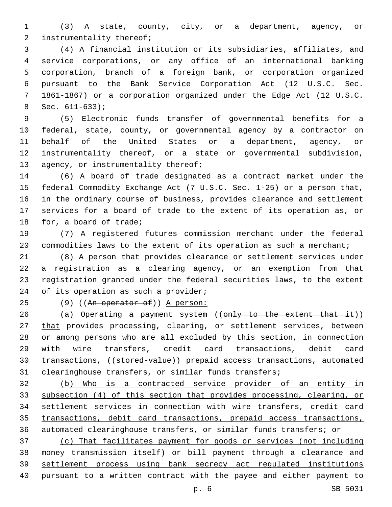(3) A state, county, city, or a department, agency, or 2 instrumentality thereof;

 (4) A financial institution or its subsidiaries, affiliates, and service corporations, or any office of an international banking corporation, branch of a foreign bank, or corporation organized pursuant to the Bank Service Corporation Act (12 U.S.C. Sec. 1861-1867) or a corporation organized under the Edge Act (12 U.S.C. Sec.  $611-633$ ;

 (5) Electronic funds transfer of governmental benefits for a federal, state, county, or governmental agency by a contractor on behalf of the United States or a department, agency, or instrumentality thereof, or a state or governmental subdivision, 13 agency, or instrumentality thereof;

 (6) A board of trade designated as a contract market under the federal Commodity Exchange Act (7 U.S.C. Sec. 1-25) or a person that, in the ordinary course of business, provides clearance and settlement services for a board of trade to the extent of its operation as, or 18 for, a board of trade;

 (7) A registered futures commission merchant under the federal 20 commodities laws to the extent of its operation as such a merchant;

 (8) A person that provides clearance or settlement services under a registration as a clearing agency, or an exemption from that registration granted under the federal securities laws, to the extent 24 of its operation as such a provider;

25 (9) ((An operator of)) A person:

26 (a) Operating a payment system ((only to the extent that it)) 27 that provides processing, clearing, or settlement services, between or among persons who are all excluded by this section, in connection with wire transfers, credit card transactions, debit card 30 transactions, ((stored-value)) prepaid access transactions, automated clearinghouse transfers, or similar funds transfers;

 (b) Who is a contracted service provider of an entity in subsection (4) of this section that provides processing, clearing, or settlement services in connection with wire transfers, credit card transactions, debit card transactions, prepaid access transactions, automated clearinghouse transfers, or similar funds transfers; or

 (c) That facilitates payment for goods or services (not including money transmission itself) or bill payment through a clearance and settlement process using bank secrecy act regulated institutions pursuant to a written contract with the payee and either payment to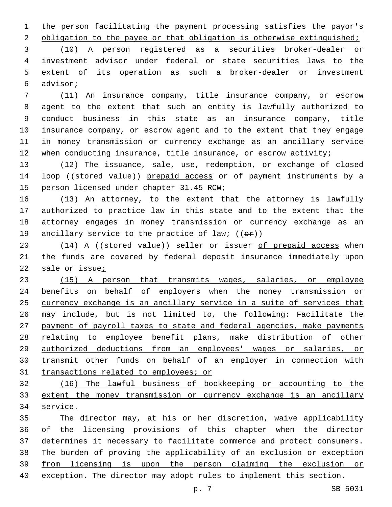1 the person facilitating the payment processing satisfies the payor's

2 obligation to the payee or that obligation is otherwise extinguished;

 (10) A person registered as a securities broker-dealer or investment advisor under federal or state securities laws to the extent of its operation as such a broker-dealer or investment advisor;6

 (11) An insurance company, title insurance company, or escrow agent to the extent that such an entity is lawfully authorized to conduct business in this state as an insurance company, title insurance company, or escrow agent and to the extent that they engage in money transmission or currency exchange as an ancillary service 12 when conducting insurance, title insurance, or escrow activity;

 (12) The issuance, sale, use, redemption, or exchange of closed 14 loop ((stored value)) prepaid access or of payment instruments by a 15 person licensed under chapter 31.45 RCW;

 (13) An attorney, to the extent that the attorney is lawfully authorized to practice law in this state and to the extent that the attorney engages in money transmission or currency exchange as an 19 ancillary service to the practice of law;  $((\theta \cdot \hat{r}))$ 

20 (14) A ((stored value)) seller or issuer of prepaid access when the funds are covered by federal deposit insurance immediately upon sale or issue;

 (15) A person that transmits wages, salaries, or employee benefits on behalf of employers when the money transmission or currency exchange is an ancillary service in a suite of services that may include, but is not limited to, the following: Facilitate the payment of payroll taxes to state and federal agencies, make payments relating to employee benefit plans, make distribution of other authorized deductions from an employees' wages or salaries, or transmit other funds on behalf of an employer in connection with transactions related to employees; or

 (16) The lawful business of bookkeeping or accounting to the extent the money transmission or currency exchange is an ancillary 34 service.

 The director may, at his or her discretion, waive applicability of the licensing provisions of this chapter when the director determines it necessary to facilitate commerce and protect consumers. The burden of proving the applicability of an exclusion or exception from licensing is upon the person claiming the exclusion or exception. The director may adopt rules to implement this section.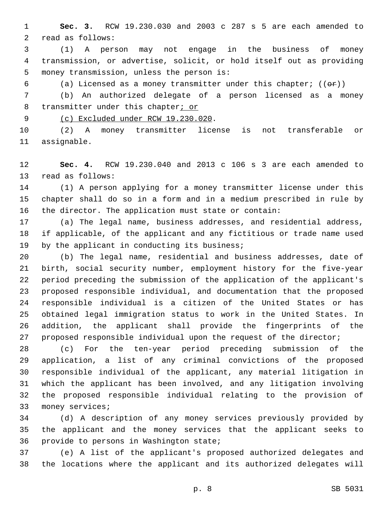**Sec. 3.** RCW 19.230.030 and 2003 c 287 s 5 are each amended to 2 read as follows:

 (1) A person may not engage in the business of money transmission, or advertise, solicit, or hold itself out as providing 5 money transmission, unless the person is:

6 (a) Licensed as a money transmitter under this chapter;  $((\theta \cdot \hat{r}))$ 

 (b) An authorized delegate of a person licensed as a money 8 transmitter under this chapter; or

9 (c) Excluded under RCW 19.230.020.

 (2) A money transmitter license is not transferable or 11 assignable.

 **Sec. 4.** RCW 19.230.040 and 2013 c 106 s 3 are each amended to 13 read as follows:

 (1) A person applying for a money transmitter license under this chapter shall do so in a form and in a medium prescribed in rule by the director. The application must state or contain:

 (a) The legal name, business addresses, and residential address, if applicable, of the applicant and any fictitious or trade name used 19 by the applicant in conducting its business;

 (b) The legal name, residential and business addresses, date of birth, social security number, employment history for the five-year period preceding the submission of the application of the applicant's proposed responsible individual, and documentation that the proposed responsible individual is a citizen of the United States or has obtained legal immigration status to work in the United States. In addition, the applicant shall provide the fingerprints of the 27 proposed responsible individual upon the request of the director;

 (c) For the ten-year period preceding submission of the application, a list of any criminal convictions of the proposed responsible individual of the applicant, any material litigation in which the applicant has been involved, and any litigation involving the proposed responsible individual relating to the provision of 33 money services;

 (d) A description of any money services previously provided by the applicant and the money services that the applicant seeks to 36 provide to persons in Washington state;

 (e) A list of the applicant's proposed authorized delegates and the locations where the applicant and its authorized delegates will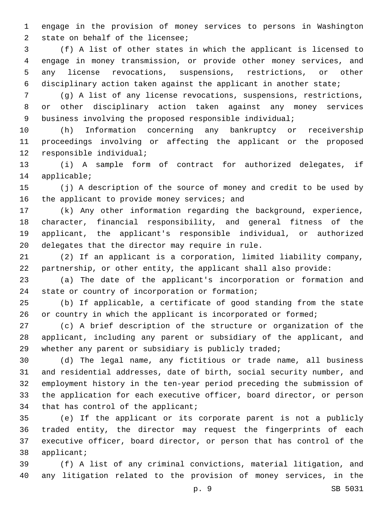engage in the provision of money services to persons in Washington 2 state on behalf of the licensee;

 (f) A list of other states in which the applicant is licensed to engage in money transmission, or provide other money services, and any license revocations, suspensions, restrictions, or other disciplinary action taken against the applicant in another state;

 (g) A list of any license revocations, suspensions, restrictions, or other disciplinary action taken against any money services business involving the proposed responsible individual;

 (h) Information concerning any bankruptcy or receivership proceedings involving or affecting the applicant or the proposed 12 responsible individual;

 (i) A sample form of contract for authorized delegates, if 14 applicable;

 (j) A description of the source of money and credit to be used by 16 the applicant to provide money services; and

 (k) Any other information regarding the background, experience, character, financial responsibility, and general fitness of the applicant, the applicant's responsible individual, or authorized 20 delegates that the director may require in rule.

 (2) If an applicant is a corporation, limited liability company, partnership, or other entity, the applicant shall also provide:

 (a) The date of the applicant's incorporation or formation and 24 state or country of incorporation or formation;

 (b) If applicable, a certificate of good standing from the state 26 or country in which the applicant is incorporated or formed;

 (c) A brief description of the structure or organization of the applicant, including any parent or subsidiary of the applicant, and 29 whether any parent or subsidiary is publicly traded;

 (d) The legal name, any fictitious or trade name, all business and residential addresses, date of birth, social security number, and employment history in the ten-year period preceding the submission of the application for each executive officer, board director, or person 34 that has control of the applicant;

 (e) If the applicant or its corporate parent is not a publicly traded entity, the director may request the fingerprints of each executive officer, board director, or person that has control of the 38 applicant;

 (f) A list of any criminal convictions, material litigation, and any litigation related to the provision of money services, in the

p. 9 SB 5031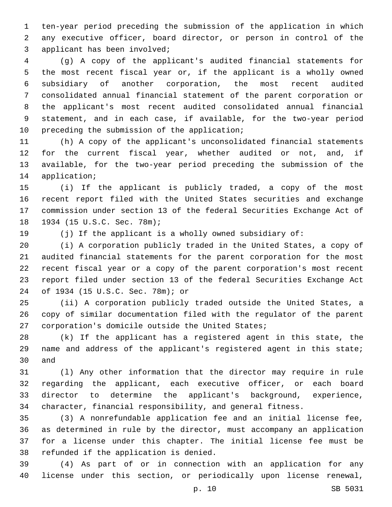ten-year period preceding the submission of the application in which any executive officer, board director, or person in control of the 3 applicant has been involved;

 (g) A copy of the applicant's audited financial statements for the most recent fiscal year or, if the applicant is a wholly owned subsidiary of another corporation, the most recent audited consolidated annual financial statement of the parent corporation or the applicant's most recent audited consolidated annual financial statement, and in each case, if available, for the two-year period 10 preceding the submission of the application;

 (h) A copy of the applicant's unconsolidated financial statements for the current fiscal year, whether audited or not, and, if available, for the two-year period preceding the submission of the 14 application;

 (i) If the applicant is publicly traded, a copy of the most recent report filed with the United States securities and exchange commission under section 13 of the federal Securities Exchange Act of 18 1934 (15 U.S.C. Sec. 78m);

(j) If the applicant is a wholly owned subsidiary of:

 (i) A corporation publicly traded in the United States, a copy of audited financial statements for the parent corporation for the most recent fiscal year or a copy of the parent corporation's most recent report filed under section 13 of the federal Securities Exchange Act of 1934 (15 U.S.C. Sec. 78m); or24

 (ii) A corporation publicly traded outside the United States, a copy of similar documentation filed with the regulator of the parent 27 corporation's domicile outside the United States;

 (k) If the applicant has a registered agent in this state, the name and address of the applicant's registered agent in this state; 30 and

 (l) Any other information that the director may require in rule regarding the applicant, each executive officer, or each board director to determine the applicant's background, experience, character, financial responsibility, and general fitness.

 (3) A nonrefundable application fee and an initial license fee, as determined in rule by the director, must accompany an application for a license under this chapter. The initial license fee must be 38 refunded if the application is denied.

 (4) As part of or in connection with an application for any license under this section, or periodically upon license renewal,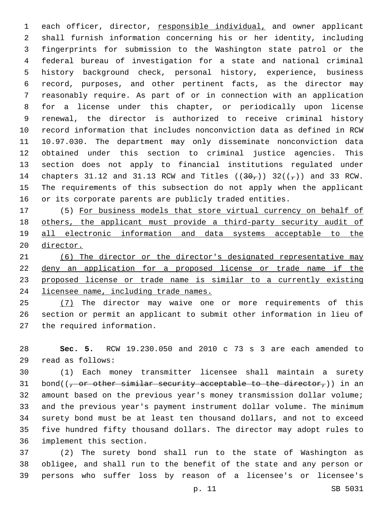each officer, director, responsible individual, and owner applicant shall furnish information concerning his or her identity, including fingerprints for submission to the Washington state patrol or the federal bureau of investigation for a state and national criminal history background check, personal history, experience, business record, purposes, and other pertinent facts, as the director may reasonably require. As part of or in connection with an application for a license under this chapter, or periodically upon license renewal, the director is authorized to receive criminal history record information that includes nonconviction data as defined in RCW 10.97.030. The department may only disseminate nonconviction data obtained under this section to criminal justice agencies. This section does not apply to financial institutions regulated under 14 chapters 31.12 and 31.13 RCW and Titles  $((30<sub>7</sub>))$  32( $(\frac{1}{7})$ ) and 33 RCW. The requirements of this subsection do not apply when the applicant or its corporate parents are publicly traded entities.

 (5) For business models that store virtual currency on behalf of others, the applicant must provide a third-party security audit of all electronic information and data systems acceptable to the director.

 (6) The director or the director's designated representative may deny an application for a proposed license or trade name if the proposed license or trade name is similar to a currently existing licensee name, including trade names.

25 (7) The director may waive one or more requirements of this section or permit an applicant to submit other information in lieu of 27 the required information.

 **Sec. 5.** RCW 19.230.050 and 2010 c 73 s 3 are each amended to read as follows:29

 (1) Each money transmitter licensee shall maintain a surety 31 bond( $(-$  or other similar security acceptable to the director,)) in an amount based on the previous year's money transmission dollar volume; and the previous year's payment instrument dollar volume. The minimum surety bond must be at least ten thousand dollars, and not to exceed five hundred fifty thousand dollars. The director may adopt rules to 36 implement this section.

 (2) The surety bond shall run to the state of Washington as obligee, and shall run to the benefit of the state and any person or persons who suffer loss by reason of a licensee's or licensee's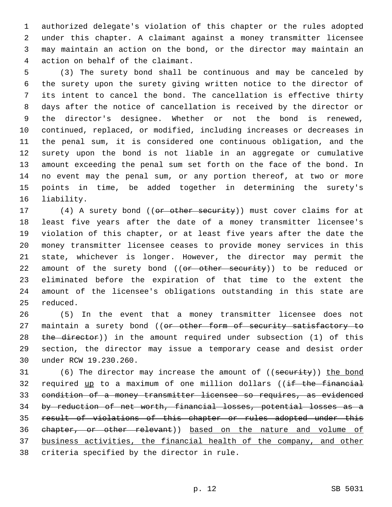authorized delegate's violation of this chapter or the rules adopted under this chapter. A claimant against a money transmitter licensee may maintain an action on the bond, or the director may maintain an 4 action on behalf of the claimant.

 (3) The surety bond shall be continuous and may be canceled by the surety upon the surety giving written notice to the director of its intent to cancel the bond. The cancellation is effective thirty days after the notice of cancellation is received by the director or the director's designee. Whether or not the bond is renewed, continued, replaced, or modified, including increases or decreases in the penal sum, it is considered one continuous obligation, and the surety upon the bond is not liable in an aggregate or cumulative amount exceeding the penal sum set forth on the face of the bond. In no event may the penal sum, or any portion thereof, at two or more points in time, be added together in determining the surety's 16 liability.

17 (4) A surety bond ((or other security)) must cover claims for at least five years after the date of a money transmitter licensee's violation of this chapter, or at least five years after the date the money transmitter licensee ceases to provide money services in this state, whichever is longer. However, the director may permit the 22 amount of the surety bond ((or other security)) to be reduced or eliminated before the expiration of that time to the extent the amount of the licensee's obligations outstanding in this state are 25 reduced.

 (5) In the event that a money transmitter licensee does not 27 maintain a surety bond ((or other form of security satisfactory to 28 the director)) in the amount required under subsection (1) of this section, the director may issue a temporary cease and desist order 30 under RCW 19.230.260.

31 (6) The director may increase the amount of ((security)) the bond 32 required up to a maximum of one million dollars ((if the financial condition of a money transmitter licensee so requires, as evidenced by reduction of net worth, financial losses, potential losses as a result of violations of this chapter or rules adopted under this chapter, or other relevant)) based on the nature and volume of business activities, the financial health of the company, and other 38 criteria specified by the director in rule.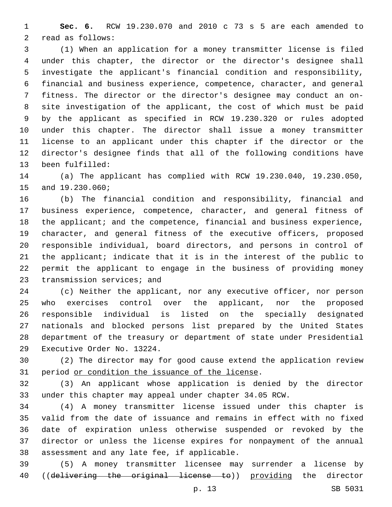**Sec. 6.** RCW 19.230.070 and 2010 c 73 s 5 are each amended to 2 read as follows:

 (1) When an application for a money transmitter license is filed under this chapter, the director or the director's designee shall investigate the applicant's financial condition and responsibility, financial and business experience, competence, character, and general fitness. The director or the director's designee may conduct an on- site investigation of the applicant, the cost of which must be paid by the applicant as specified in RCW 19.230.320 or rules adopted under this chapter. The director shall issue a money transmitter license to an applicant under this chapter if the director or the director's designee finds that all of the following conditions have 13 been fulfilled:

 (a) The applicant has complied with RCW 19.230.040, 19.230.050, 15 and 19.230.060;

 (b) The financial condition and responsibility, financial and business experience, competence, character, and general fitness of 18 the applicant; and the competence, financial and business experience, character, and general fitness of the executive officers, proposed responsible individual, board directors, and persons in control of the applicant; indicate that it is in the interest of the public to permit the applicant to engage in the business of providing money 23 transmission services; and

 (c) Neither the applicant, nor any executive officer, nor person who exercises control over the applicant, nor the proposed responsible individual is listed on the specially designated nationals and blocked persons list prepared by the United States department of the treasury or department of state under Presidential 29 Executive Order No. 13224.

 (2) The director may for good cause extend the application review 31 period or condition the issuance of the license.

 (3) An applicant whose application is denied by the director under this chapter may appeal under chapter 34.05 RCW.

 (4) A money transmitter license issued under this chapter is valid from the date of issuance and remains in effect with no fixed date of expiration unless otherwise suspended or revoked by the director or unless the license expires for nonpayment of the annual 38 assessment and any late fee, if applicable.

 (5) A money transmitter licensee may surrender a license by 40 ((delivering the original license to)) providing the director

p. 13 SB 5031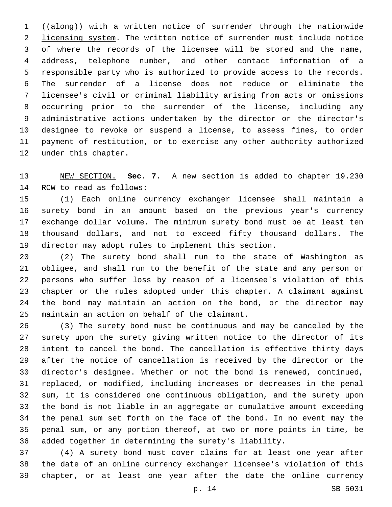((along)) with a written notice of surrender through the nationwide 2 licensing system. The written notice of surrender must include notice of where the records of the licensee will be stored and the name, address, telephone number, and other contact information of a responsible party who is authorized to provide access to the records. The surrender of a license does not reduce or eliminate the licensee's civil or criminal liability arising from acts or omissions occurring prior to the surrender of the license, including any administrative actions undertaken by the director or the director's designee to revoke or suspend a license, to assess fines, to order payment of restitution, or to exercise any other authority authorized 12 under this chapter.

 NEW SECTION. **Sec. 7.** A new section is added to chapter 19.230 14 RCW to read as follows:

 (1) Each online currency exchanger licensee shall maintain a surety bond in an amount based on the previous year's currency exchange dollar volume. The minimum surety bond must be at least ten thousand dollars, and not to exceed fifty thousand dollars. The director may adopt rules to implement this section.

 (2) The surety bond shall run to the state of Washington as obligee, and shall run to the benefit of the state and any person or persons who suffer loss by reason of a licensee's violation of this chapter or the rules adopted under this chapter. A claimant against the bond may maintain an action on the bond, or the director may 25 maintain an action on behalf of the claimant.

 (3) The surety bond must be continuous and may be canceled by the surety upon the surety giving written notice to the director of its intent to cancel the bond. The cancellation is effective thirty days after the notice of cancellation is received by the director or the director's designee. Whether or not the bond is renewed, continued, replaced, or modified, including increases or decreases in the penal sum, it is considered one continuous obligation, and the surety upon the bond is not liable in an aggregate or cumulative amount exceeding the penal sum set forth on the face of the bond. In no event may the penal sum, or any portion thereof, at two or more points in time, be added together in determining the surety's liability.

 (4) A surety bond must cover claims for at least one year after the date of an online currency exchanger licensee's violation of this chapter, or at least one year after the date the online currency

p. 14 SB 5031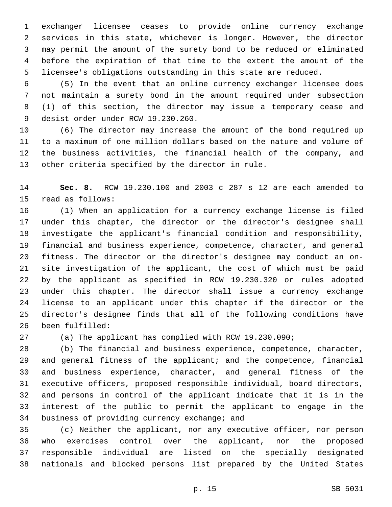exchanger licensee ceases to provide online currency exchange services in this state, whichever is longer. However, the director may permit the amount of the surety bond to be reduced or eliminated before the expiration of that time to the extent the amount of the licensee's obligations outstanding in this state are reduced.

 (5) In the event that an online currency exchanger licensee does not maintain a surety bond in the amount required under subsection (1) of this section, the director may issue a temporary cease and 9 desist order under RCW 19.230.260.

 (6) The director may increase the amount of the bond required up to a maximum of one million dollars based on the nature and volume of the business activities, the financial health of the company, and 13 other criteria specified by the director in rule.

 **Sec. 8.** RCW 19.230.100 and 2003 c 287 s 12 are each amended to 15 read as follows:

 (1) When an application for a currency exchange license is filed under this chapter, the director or the director's designee shall investigate the applicant's financial condition and responsibility, financial and business experience, competence, character, and general fitness. The director or the director's designee may conduct an on- site investigation of the applicant, the cost of which must be paid by the applicant as specified in RCW 19.230.320 or rules adopted under this chapter. The director shall issue a currency exchange license to an applicant under this chapter if the director or the director's designee finds that all of the following conditions have 26 been fulfilled:

(a) The applicant has complied with RCW 19.230.090;

 (b) The financial and business experience, competence, character, and general fitness of the applicant; and the competence, financial and business experience, character, and general fitness of the executive officers, proposed responsible individual, board directors, and persons in control of the applicant indicate that it is in the interest of the public to permit the applicant to engage in the 34 business of providing currency exchange; and

 (c) Neither the applicant, nor any executive officer, nor person who exercises control over the applicant, nor the proposed responsible individual are listed on the specially designated nationals and blocked persons list prepared by the United States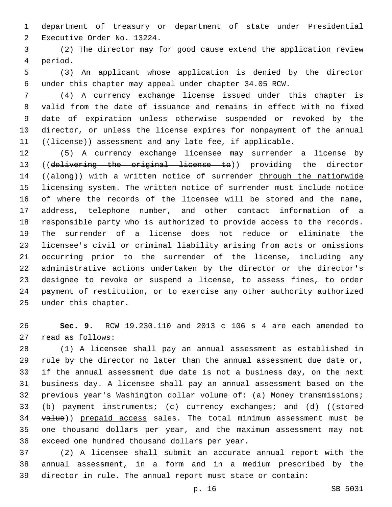department of treasury or department of state under Presidential 2 Executive Order No. 13224.

 (2) The director may for good cause extend the application review 4 period.

 (3) An applicant whose application is denied by the director under this chapter may appeal under chapter 34.05 RCW.

 (4) A currency exchange license issued under this chapter is valid from the date of issuance and remains in effect with no fixed date of expiration unless otherwise suspended or revoked by the director, or unless the license expires for nonpayment of the annual 11 ((Hicense)) assessment and any late fee, if applicable.

 (5) A currency exchange licensee may surrender a license by ((delivering the original license to)) providing the director 14 ((along)) with a written notice of surrender through the nationwide licensing system. The written notice of surrender must include notice of where the records of the licensee will be stored and the name, address, telephone number, and other contact information of a responsible party who is authorized to provide access to the records. The surrender of a license does not reduce or eliminate the licensee's civil or criminal liability arising from acts or omissions occurring prior to the surrender of the license, including any administrative actions undertaken by the director or the director's designee to revoke or suspend a license, to assess fines, to order payment of restitution, or to exercise any other authority authorized 25 under this chapter.

 **Sec. 9.** RCW 19.230.110 and 2013 c 106 s 4 are each amended to 27 read as follows:

 (1) A licensee shall pay an annual assessment as established in rule by the director no later than the annual assessment due date or, if the annual assessment due date is not a business day, on the next business day. A licensee shall pay an annual assessment based on the previous year's Washington dollar volume of: (a) Money transmissions; 33 (b) payment instruments; (c) currency exchanges; and (d) ((stored 34 value)) prepaid access sales. The total minimum assessment must be one thousand dollars per year, and the maximum assessment may not 36 exceed one hundred thousand dollars per year.

 (2) A licensee shall submit an accurate annual report with the annual assessment, in a form and in a medium prescribed by the director in rule. The annual report must state or contain: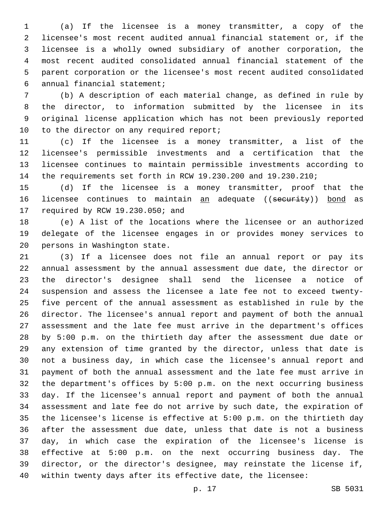(a) If the licensee is a money transmitter, a copy of the licensee's most recent audited annual financial statement or, if the licensee is a wholly owned subsidiary of another corporation, the most recent audited consolidated annual financial statement of the parent corporation or the licensee's most recent audited consolidated annual financial statement;6

 (b) A description of each material change, as defined in rule by the director, to information submitted by the licensee in its original license application which has not been previously reported 10 to the director on any required report;

 (c) If the licensee is a money transmitter, a list of the licensee's permissible investments and a certification that the licensee continues to maintain permissible investments according to the requirements set forth in RCW 19.230.200 and 19.230.210;

 (d) If the licensee is a money transmitter, proof that the 16 licensee continues to maintain an adequate ((security)) bond as 17 required by RCW 19.230.050; and

 (e) A list of the locations where the licensee or an authorized delegate of the licensee engages in or provides money services to 20 persons in Washington state.

 (3) If a licensee does not file an annual report or pay its annual assessment by the annual assessment due date, the director or the director's designee shall send the licensee a notice of suspension and assess the licensee a late fee not to exceed twenty- five percent of the annual assessment as established in rule by the director. The licensee's annual report and payment of both the annual assessment and the late fee must arrive in the department's offices by 5:00 p.m. on the thirtieth day after the assessment due date or any extension of time granted by the director, unless that date is not a business day, in which case the licensee's annual report and payment of both the annual assessment and the late fee must arrive in the department's offices by 5:00 p.m. on the next occurring business day. If the licensee's annual report and payment of both the annual assessment and late fee do not arrive by such date, the expiration of the licensee's license is effective at 5:00 p.m. on the thirtieth day after the assessment due date, unless that date is not a business day, in which case the expiration of the licensee's license is effective at 5:00 p.m. on the next occurring business day. The director, or the director's designee, may reinstate the license if, within twenty days after its effective date, the licensee:

p. 17 SB 5031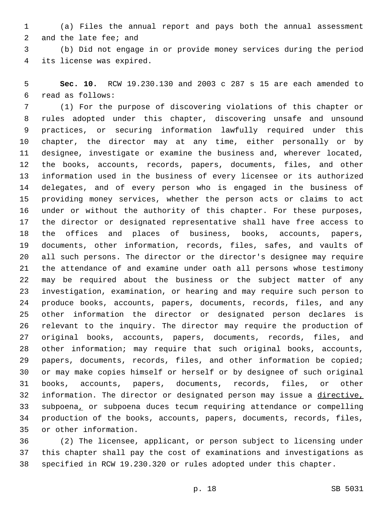(a) Files the annual report and pays both the annual assessment 2 and the late fee; and

 (b) Did not engage in or provide money services during the period 4 its license was expired.

 **Sec. 10.** RCW 19.230.130 and 2003 c 287 s 15 are each amended to read as follows:6

 (1) For the purpose of discovering violations of this chapter or rules adopted under this chapter, discovering unsafe and unsound practices, or securing information lawfully required under this chapter, the director may at any time, either personally or by designee, investigate or examine the business and, wherever located, the books, accounts, records, papers, documents, files, and other information used in the business of every licensee or its authorized delegates, and of every person who is engaged in the business of providing money services, whether the person acts or claims to act under or without the authority of this chapter. For these purposes, the director or designated representative shall have free access to the offices and places of business, books, accounts, papers, documents, other information, records, files, safes, and vaults of all such persons. The director or the director's designee may require the attendance of and examine under oath all persons whose testimony may be required about the business or the subject matter of any investigation, examination, or hearing and may require such person to produce books, accounts, papers, documents, records, files, and any other information the director or designated person declares is relevant to the inquiry. The director may require the production of original books, accounts, papers, documents, records, files, and other information; may require that such original books, accounts, papers, documents, records, files, and other information be copied; or may make copies himself or herself or by designee of such original books, accounts, papers, documents, records, files, or other information. The director or designated person may issue a directive, subpoena, or subpoena duces tecum requiring attendance or compelling production of the books, accounts, papers, documents, records, files, 35 or other information.

 (2) The licensee, applicant, or person subject to licensing under this chapter shall pay the cost of examinations and investigations as specified in RCW 19.230.320 or rules adopted under this chapter.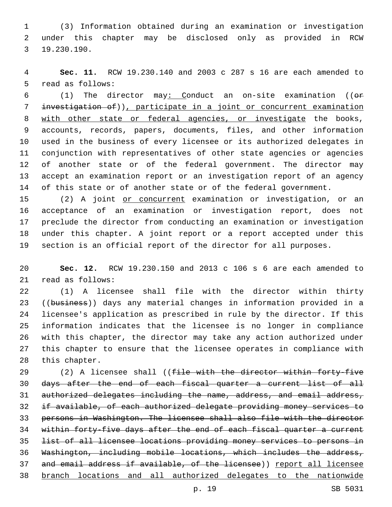(3) Information obtained during an examination or investigation under this chapter may be disclosed only as provided in RCW 19.230.190.3

 **Sec. 11.** RCW 19.230.140 and 2003 c 287 s 16 are each amended to 5 read as follows:

 (1) The director may: Conduct an on-site examination ((or investigation of)), participate in a joint or concurrent examination with other state or federal agencies, or investigate the books, accounts, records, papers, documents, files, and other information used in the business of every licensee or its authorized delegates in conjunction with representatives of other state agencies or agencies of another state or of the federal government. The director may accept an examination report or an investigation report of an agency of this state or of another state or of the federal government.

15 (2) A joint or concurrent examination or investigation, or an acceptance of an examination or investigation report, does not preclude the director from conducting an examination or investigation under this chapter. A joint report or a report accepted under this section is an official report of the director for all purposes.

 **Sec. 12.** RCW 19.230.150 and 2013 c 106 s 6 are each amended to 21 read as follows:

 (1) A licensee shall file with the director within thirty 23 ((business)) days any material changes in information provided in a licensee's application as prescribed in rule by the director. If this information indicates that the licensee is no longer in compliance with this chapter, the director may take any action authorized under this chapter to ensure that the licensee operates in compliance with 28 this chapter.

29 (2) A licensee shall ((file with the director within forty-five days after the end of each fiscal quarter a current list of all authorized delegates including the name, address, and email address, if available, of each authorized delegate providing money services to persons in Washington. The licensee shall also file with the director 34 within forty-five days after the end of each fiscal quarter a current list of all licensee locations providing money services to persons in Washington, including mobile locations, which includes the address, 37 and email address if available, of the licensee)) report all licensee branch locations and all authorized delegates to the nationwide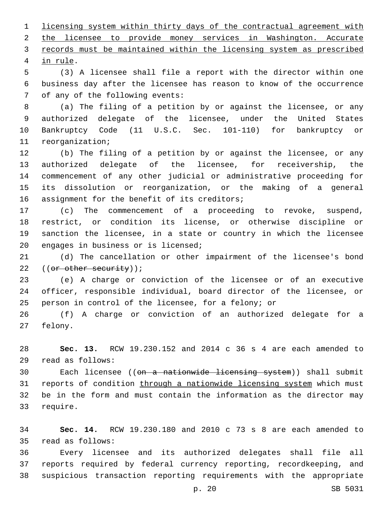licensing system within thirty days of the contractual agreement with the licensee to provide money services in Washington. Accurate records must be maintained within the licensing system as prescribed 4 in rule.

 (3) A licensee shall file a report with the director within one business day after the licensee has reason to know of the occurrence 7 of any of the following events:

 (a) The filing of a petition by or against the licensee, or any authorized delegate of the licensee, under the United States Bankruptcy Code (11 U.S.C. Sec. 101-110) for bankruptcy or 11 reorganization;

 (b) The filing of a petition by or against the licensee, or any authorized delegate of the licensee, for receivership, the commencement of any other judicial or administrative proceeding for its dissolution or reorganization, or the making of a general 16 assignment for the benefit of its creditors;

 (c) The commencement of a proceeding to revoke, suspend, restrict, or condition its license, or otherwise discipline or sanction the licensee, in a state or country in which the licensee 20 engages in business or is licensed;

 (d) The cancellation or other impairment of the licensee's bond 22 ((or other security));

 (e) A charge or conviction of the licensee or of an executive officer, responsible individual, board director of the licensee, or person in control of the licensee, for a felony; or

 (f) A charge or conviction of an authorized delegate for a 27 felony.

 **Sec. 13.** RCW 19.230.152 and 2014 c 36 s 4 are each amended to read as follows:29

30 Each licensee ((<del>on a nationwide licensing system</del>)) shall submit 31 reports of condition through a nationwide licensing system which must be in the form and must contain the information as the director may 33 require.

 **Sec. 14.** RCW 19.230.180 and 2010 c 73 s 8 are each amended to read as follows:35

 Every licensee and its authorized delegates shall file all reports required by federal currency reporting, recordkeeping, and suspicious transaction reporting requirements with the appropriate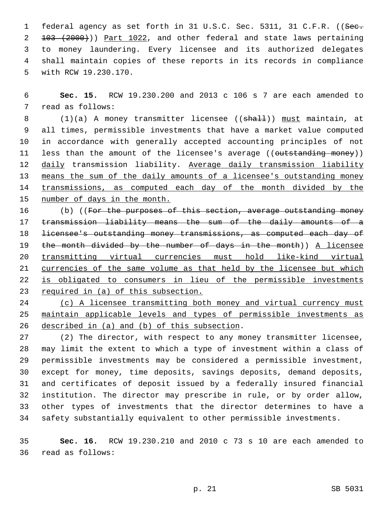1 federal agency as set forth in 31 U.S.C. Sec. 5311, 31 C.F.R. ((See. 103 (2000))) Part 1022, and other federal and state laws pertaining to money laundering. Every licensee and its authorized delegates shall maintain copies of these reports in its records in compliance 5 with RCW 19.230.170.

 **Sec. 15.** RCW 19.230.200 and 2013 c 106 s 7 are each amended to 7 read as follows:

8 (1)(a) A money transmitter licensee ((shall)) must maintain, at all times, permissible investments that have a market value computed in accordance with generally accepted accounting principles of not 11 less than the amount of the licensee's average ((outstanding money)) 12 daily transmission liability. Average daily transmission liability means the sum of the daily amounts of a licensee's outstanding money transmissions, as computed each day of the month divided by the number of days in the month.

16 (b) ((For the purposes of this section, average outstanding money transmission liability means the sum of the daily amounts of a licensee's outstanding money transmissions, as computed each day of the month divided by the number of days in the month)) A licensee transmitting virtual currencies must hold like-kind virtual currencies of the same volume as that held by the licensee but which is obligated to consumers in lieu of the permissible investments required in (a) of this subsection.

24 (c) A licensee transmitting both money and virtual currency must maintain applicable levels and types of permissible investments as 26 described in (a) and (b) of this subsection.

 (2) The director, with respect to any money transmitter licensee, may limit the extent to which a type of investment within a class of permissible investments may be considered a permissible investment, except for money, time deposits, savings deposits, demand deposits, and certificates of deposit issued by a federally insured financial institution. The director may prescribe in rule, or by order allow, other types of investments that the director determines to have a safety substantially equivalent to other permissible investments.

 **Sec. 16.** RCW 19.230.210 and 2010 c 73 s 10 are each amended to read as follows:36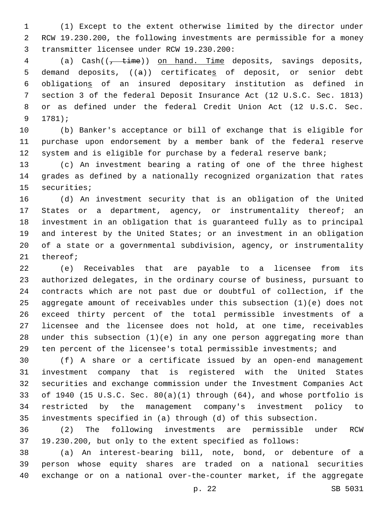(1) Except to the extent otherwise limited by the director under RCW 19.230.200, the following investments are permissible for a money 3 transmitter licensee under RCW 19.230.200:

4 (a) Cash(( $\frac{1}{t + \text{time}}$ ) on hand. Time deposits, savings deposits, demand deposits, ((a)) certificates of deposit, or senior debt obligations of an insured depositary institution as defined in section 3 of the federal Deposit Insurance Act (12 U.S.C. Sec. 1813) or as defined under the federal Credit Union Act (12 U.S.C. Sec. 9 1781);

 (b) Banker's acceptance or bill of exchange that is eligible for purchase upon endorsement by a member bank of the federal reserve 12 system and is eligible for purchase by a federal reserve bank;

 (c) An investment bearing a rating of one of the three highest grades as defined by a nationally recognized organization that rates 15 securities;

 (d) An investment security that is an obligation of the United 17 States or a department, agency, or instrumentality thereof; an investment in an obligation that is guaranteed fully as to principal and interest by the United States; or an investment in an obligation of a state or a governmental subdivision, agency, or instrumentality 21 thereof;

 (e) Receivables that are payable to a licensee from its authorized delegates, in the ordinary course of business, pursuant to contracts which are not past due or doubtful of collection, if the aggregate amount of receivables under this subsection (1)(e) does not exceed thirty percent of the total permissible investments of a licensee and the licensee does not hold, at one time, receivables under this subsection (1)(e) in any one person aggregating more than ten percent of the licensee's total permissible investments; and

 (f) A share or a certificate issued by an open-end management investment company that is registered with the United States securities and exchange commission under the Investment Companies Act of 1940 (15 U.S.C. Sec. 80(a)(1) through (64), and whose portfolio is restricted by the management company's investment policy to investments specified in (a) through (d) of this subsection.

 (2) The following investments are permissible under RCW 19.230.200, but only to the extent specified as follows:

 (a) An interest-bearing bill, note, bond, or debenture of a person whose equity shares are traded on a national securities exchange or on a national over-the-counter market, if the aggregate

p. 22 SB 5031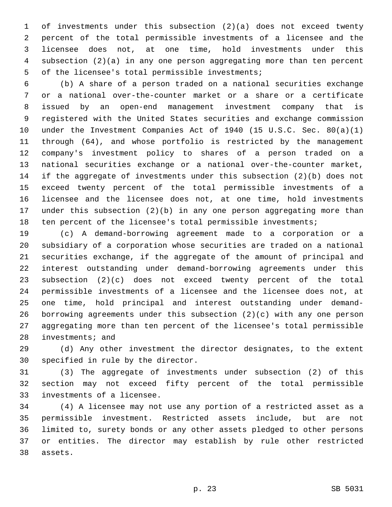of investments under this subsection (2)(a) does not exceed twenty percent of the total permissible investments of a licensee and the licensee does not, at one time, hold investments under this subsection (2)(a) in any one person aggregating more than ten percent 5 of the licensee's total permissible investments;

 (b) A share of a person traded on a national securities exchange or a national over-the-counter market or a share or a certificate issued by an open-end management investment company that is registered with the United States securities and exchange commission under the Investment Companies Act of 1940 (15 U.S.C. Sec. 80(a)(1) through (64), and whose portfolio is restricted by the management company's investment policy to shares of a person traded on a national securities exchange or a national over-the-counter market, if the aggregate of investments under this subsection (2)(b) does not exceed twenty percent of the total permissible investments of a licensee and the licensee does not, at one time, hold investments under this subsection (2)(b) in any one person aggregating more than ten percent of the licensee's total permissible investments;

 (c) A demand-borrowing agreement made to a corporation or a subsidiary of a corporation whose securities are traded on a national securities exchange, if the aggregate of the amount of principal and interest outstanding under demand-borrowing agreements under this subsection (2)(c) does not exceed twenty percent of the total permissible investments of a licensee and the licensee does not, at one time, hold principal and interest outstanding under demand- borrowing agreements under this subsection (2)(c) with any one person aggregating more than ten percent of the licensee's total permissible 28 investments; and

 (d) Any other investment the director designates, to the extent 30 specified in rule by the director.

 (3) The aggregate of investments under subsection (2) of this section may not exceed fifty percent of the total permissible 33 investments of a licensee.

 (4) A licensee may not use any portion of a restricted asset as a permissible investment. Restricted assets include, but are not limited to, surety bonds or any other assets pledged to other persons or entities. The director may establish by rule other restricted 38 assets.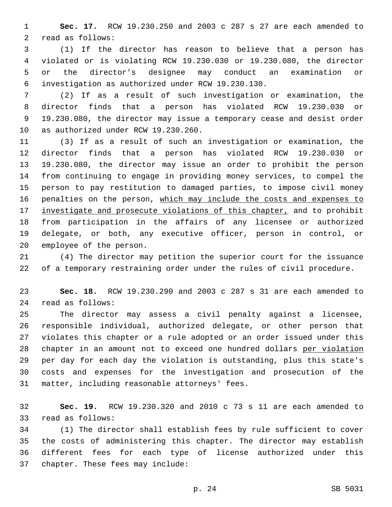**Sec. 17.** RCW 19.230.250 and 2003 c 287 s 27 are each amended to 2 read as follows:

 (1) If the director has reason to believe that a person has violated or is violating RCW 19.230.030 or 19.230.080, the director or the director's designee may conduct an examination or investigation as authorized under RCW 19.230.130.6

 (2) If as a result of such investigation or examination, the director finds that a person has violated RCW 19.230.030 or 19.230.080, the director may issue a temporary cease and desist order 10 as authorized under RCW 19.230.260.

 (3) If as a result of such an investigation or examination, the director finds that a person has violated RCW 19.230.030 or 19.230.080, the director may issue an order to prohibit the person from continuing to engage in providing money services, to compel the person to pay restitution to damaged parties, to impose civil money 16 penalties on the person, which may include the costs and expenses to 17 investigate and prosecute violations of this chapter, and to prohibit from participation in the affairs of any licensee or authorized delegate, or both, any executive officer, person in control, or 20 employee of the person.

 (4) The director may petition the superior court for the issuance of a temporary restraining order under the rules of civil procedure.

 **Sec. 18.** RCW 19.230.290 and 2003 c 287 s 31 are each amended to read as follows:24

 The director may assess a civil penalty against a licensee, responsible individual, authorized delegate, or other person that violates this chapter or a rule adopted or an order issued under this chapter in an amount not to exceed one hundred dollars per violation per day for each day the violation is outstanding, plus this state's costs and expenses for the investigation and prosecution of the 31 matter, including reasonable attorneys' fees.

 **Sec. 19.** RCW 19.230.320 and 2010 c 73 s 11 are each amended to 33 read as follows:

 (1) The director shall establish fees by rule sufficient to cover the costs of administering this chapter. The director may establish different fees for each type of license authorized under this 37 chapter. These fees may include: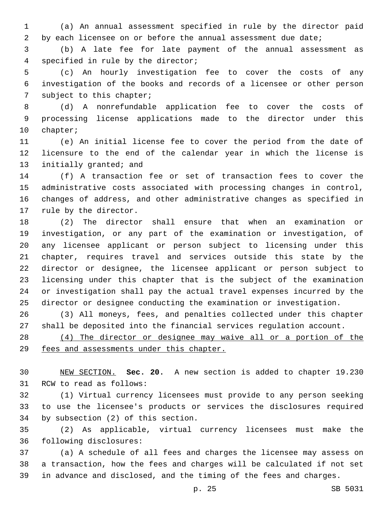(a) An annual assessment specified in rule by the director paid 2 by each licensee on or before the annual assessment due date;

 (b) A late fee for late payment of the annual assessment as 4 specified in rule by the director;

 (c) An hourly investigation fee to cover the costs of any investigation of the books and records of a licensee or other person 7 subject to this chapter;

 (d) A nonrefundable application fee to cover the costs of processing license applications made to the director under this 10 chapter;

 (e) An initial license fee to cover the period from the date of licensure to the end of the calendar year in which the license is 13 initially granted; and

 (f) A transaction fee or set of transaction fees to cover the administrative costs associated with processing changes in control, changes of address, and other administrative changes as specified in 17 rule by the director.

 (2) The director shall ensure that when an examination or investigation, or any part of the examination or investigation, of any licensee applicant or person subject to licensing under this chapter, requires travel and services outside this state by the director or designee, the licensee applicant or person subject to licensing under this chapter that is the subject of the examination or investigation shall pay the actual travel expenses incurred by the director or designee conducting the examination or investigation.

 (3) All moneys, fees, and penalties collected under this chapter shall be deposited into the financial services regulation account.

 (4) The director or designee may waive all or a portion of the fees and assessments under this chapter.

 NEW SECTION. **Sec. 20.** A new section is added to chapter 19.230 31 RCW to read as follows:

 (1) Virtual currency licensees must provide to any person seeking to use the licensee's products or services the disclosures required 34 by subsection (2) of this section.

 (2) As applicable, virtual currency licensees must make the 36 following disclosures:

 (a) A schedule of all fees and charges the licensee may assess on a transaction, how the fees and charges will be calculated if not set in advance and disclosed, and the timing of the fees and charges.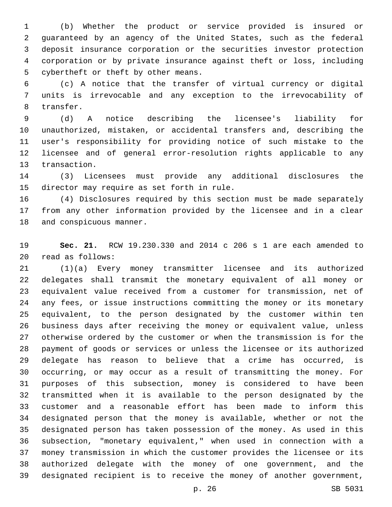(b) Whether the product or service provided is insured or guaranteed by an agency of the United States, such as the federal deposit insurance corporation or the securities investor protection corporation or by private insurance against theft or loss, including 5 cybertheft or theft by other means.

 (c) A notice that the transfer of virtual currency or digital units is irrevocable and any exception to the irrevocability of 8 transfer.

 (d) A notice describing the licensee's liability for unauthorized, mistaken, or accidental transfers and, describing the user's responsibility for providing notice of such mistake to the licensee and of general error-resolution rights applicable to any 13 transaction.

 (3) Licensees must provide any additional disclosures the 15 director may require as set forth in rule.

 (4) Disclosures required by this section must be made separately from any other information provided by the licensee and in a clear 18 and conspicuous manner.

 **Sec. 21.** RCW 19.230.330 and 2014 c 206 s 1 are each amended to read as follows:20

 (1)(a) Every money transmitter licensee and its authorized delegates shall transmit the monetary equivalent of all money or equivalent value received from a customer for transmission, net of any fees, or issue instructions committing the money or its monetary equivalent, to the person designated by the customer within ten business days after receiving the money or equivalent value, unless otherwise ordered by the customer or when the transmission is for the payment of goods or services or unless the licensee or its authorized delegate has reason to believe that a crime has occurred, is occurring, or may occur as a result of transmitting the money. For purposes of this subsection, money is considered to have been transmitted when it is available to the person designated by the customer and a reasonable effort has been made to inform this designated person that the money is available, whether or not the designated person has taken possession of the money. As used in this subsection, "monetary equivalent," when used in connection with a money transmission in which the customer provides the licensee or its authorized delegate with the money of one government, and the designated recipient is to receive the money of another government,

p. 26 SB 5031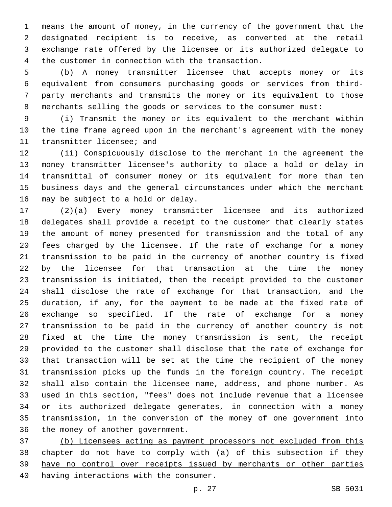means the amount of money, in the currency of the government that the designated recipient is to receive, as converted at the retail exchange rate offered by the licensee or its authorized delegate to 4 the customer in connection with the transaction.

 (b) A money transmitter licensee that accepts money or its equivalent from consumers purchasing goods or services from third- party merchants and transmits the money or its equivalent to those merchants selling the goods or services to the consumer must:

 (i) Transmit the money or its equivalent to the merchant within the time frame agreed upon in the merchant's agreement with the money 11 transmitter licensee; and

 (ii) Conspicuously disclose to the merchant in the agreement the money transmitter licensee's authority to place a hold or delay in transmittal of consumer money or its equivalent for more than ten business days and the general circumstances under which the merchant 16 may be subject to a hold or delay.

 (2)(a) Every money transmitter licensee and its authorized delegates shall provide a receipt to the customer that clearly states the amount of money presented for transmission and the total of any fees charged by the licensee. If the rate of exchange for a money transmission to be paid in the currency of another country is fixed by the licensee for that transaction at the time the money transmission is initiated, then the receipt provided to the customer shall disclose the rate of exchange for that transaction, and the duration, if any, for the payment to be made at the fixed rate of exchange so specified. If the rate of exchange for a money transmission to be paid in the currency of another country is not fixed at the time the money transmission is sent, the receipt provided to the customer shall disclose that the rate of exchange for that transaction will be set at the time the recipient of the money transmission picks up the funds in the foreign country. The receipt shall also contain the licensee name, address, and phone number. As used in this section, "fees" does not include revenue that a licensee or its authorized delegate generates, in connection with a money transmission, in the conversion of the money of one government into 36 the money of another government.

 (b) Licensees acting as payment processors not excluded from this chapter do not have to comply with (a) of this subsection if they have no control over receipts issued by merchants or other parties having interactions with the consumer.